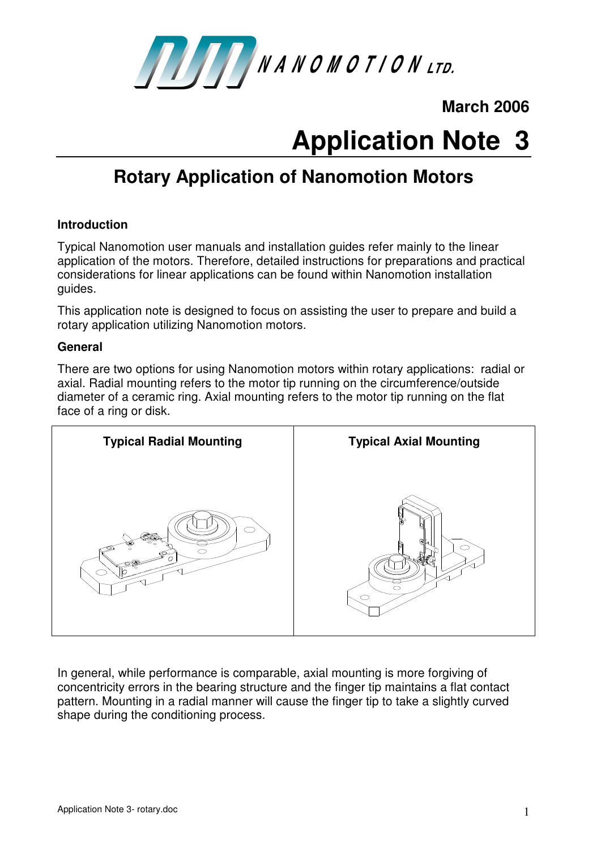

**March 2006** 

# **Application Note 3**

# **Rotary Application of Nanomotion Motors**

# **Introduction**

Typical Nanomotion user manuals and installation guides refer mainly to the linear application of the motors. Therefore, detailed instructions for preparations and practical considerations for linear applications can be found within Nanomotion installation guides.

This application note is designed to focus on assisting the user to prepare and build a rotary application utilizing Nanomotion motors.

#### **General**

There are two options for using Nanomotion motors within rotary applications: radial or axial. Radial mounting refers to the motor tip running on the circumference/outside diameter of a ceramic ring. Axial mounting refers to the motor tip running on the flat face of a ring or disk.



In general, while performance is comparable, axial mounting is more forgiving of concentricity errors in the bearing structure and the finger tip maintains a flat contact pattern. Mounting in a radial manner will cause the finger tip to take a slightly curved shape during the conditioning process.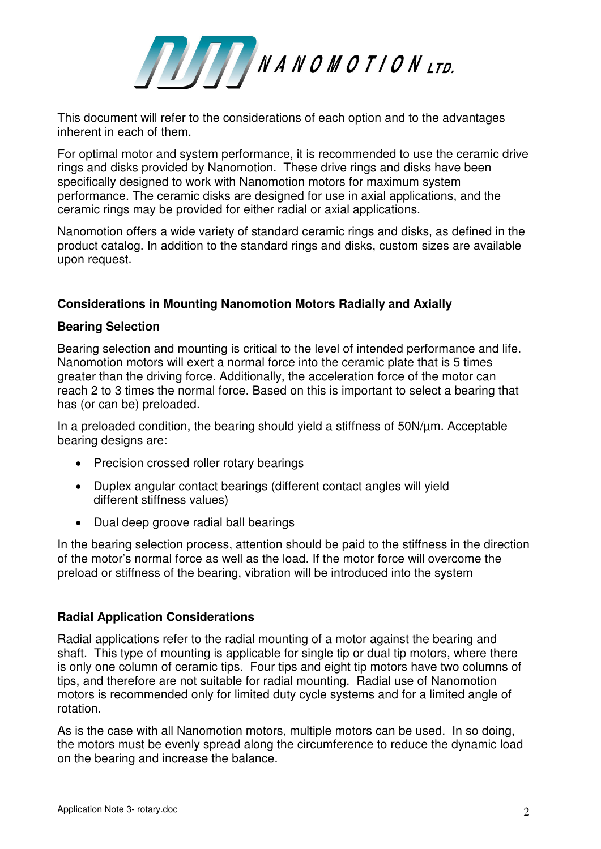

This document will refer to the considerations of each option and to the advantages inherent in each of them.

For optimal motor and system performance, it is recommended to use the ceramic drive rings and disks provided by Nanomotion. These drive rings and disks have been specifically designed to work with Nanomotion motors for maximum system performance. The ceramic disks are designed for use in axial applications, and the ceramic rings may be provided for either radial or axial applications.

Nanomotion offers a wide variety of standard ceramic rings and disks, as defined in the product catalog. In addition to the standard rings and disks, custom sizes are available upon request.

## **Considerations in Mounting Nanomotion Motors Radially and Axially**

#### **Bearing Selection**

Bearing selection and mounting is critical to the level of intended performance and life. Nanomotion motors will exert a normal force into the ceramic plate that is 5 times greater than the driving force. Additionally, the acceleration force of the motor can reach 2 to 3 times the normal force. Based on this is important to select a bearing that has (or can be) preloaded.

In a preloaded condition, the bearing should yield a stiffness of 50N/µm. Acceptable bearing designs are:

- Precision crossed roller rotary bearings
- Duplex angular contact bearings (different contact angles will yield different stiffness values)
- Dual deep groove radial ball bearings

In the bearing selection process, attention should be paid to the stiffness in the direction of the motor's normal force as well as the load. If the motor force will overcome the preload or stiffness of the bearing, vibration will be introduced into the system

#### **Radial Application Considerations**

Radial applications refer to the radial mounting of a motor against the bearing and shaft. This type of mounting is applicable for single tip or dual tip motors, where there is only one column of ceramic tips. Four tips and eight tip motors have two columns of tips, and therefore are not suitable for radial mounting. Radial use of Nanomotion motors is recommended only for limited duty cycle systems and for a limited angle of rotation.

As is the case with all Nanomotion motors, multiple motors can be used. In so doing, the motors must be evenly spread along the circumference to reduce the dynamic load on the bearing and increase the balance.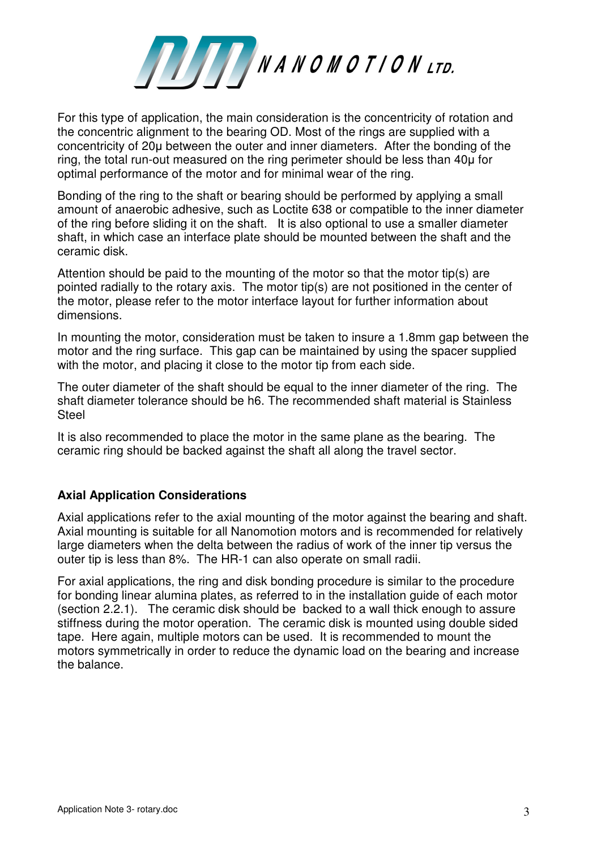

For this type of application, the main consideration is the concentricity of rotation and the concentric alignment to the bearing OD. Most of the rings are supplied with a concentricity of 20µ between the outer and inner diameters. After the bonding of the ring, the total run-out measured on the ring perimeter should be less than 40µ for optimal performance of the motor and for minimal wear of the ring.

Bonding of the ring to the shaft or bearing should be performed by applying a small amount of anaerobic adhesive, such as Loctite 638 or compatible to the inner diameter of the ring before sliding it on the shaft. It is also optional to use a smaller diameter shaft, in which case an interface plate should be mounted between the shaft and the ceramic disk.

Attention should be paid to the mounting of the motor so that the motor tip(s) are pointed radially to the rotary axis. The motor tip(s) are not positioned in the center of the motor, please refer to the motor interface layout for further information about dimensions.

In mounting the motor, consideration must be taken to insure a 1.8mm gap between the motor and the ring surface. This gap can be maintained by using the spacer supplied with the motor, and placing it close to the motor tip from each side.

The outer diameter of the shaft should be equal to the inner diameter of the ring. The shaft diameter tolerance should be h6. The recommended shaft material is Stainless **Steel** 

It is also recommended to place the motor in the same plane as the bearing. The ceramic ring should be backed against the shaft all along the travel sector.

# **Axial Application Considerations**

Axial applications refer to the axial mounting of the motor against the bearing and shaft. Axial mounting is suitable for all Nanomotion motors and is recommended for relatively large diameters when the delta between the radius of work of the inner tip versus the outer tip is less than 8%. The HR-1 can also operate on small radii.

For axial applications, the ring and disk bonding procedure is similar to the procedure for bonding linear alumina plates, as referred to in the installation guide of each motor (section 2.2.1). The ceramic disk should be backed to a wall thick enough to assure stiffness during the motor operation. The ceramic disk is mounted using double sided tape. Here again, multiple motors can be used. It is recommended to mount the motors symmetrically in order to reduce the dynamic load on the bearing and increase the balance.